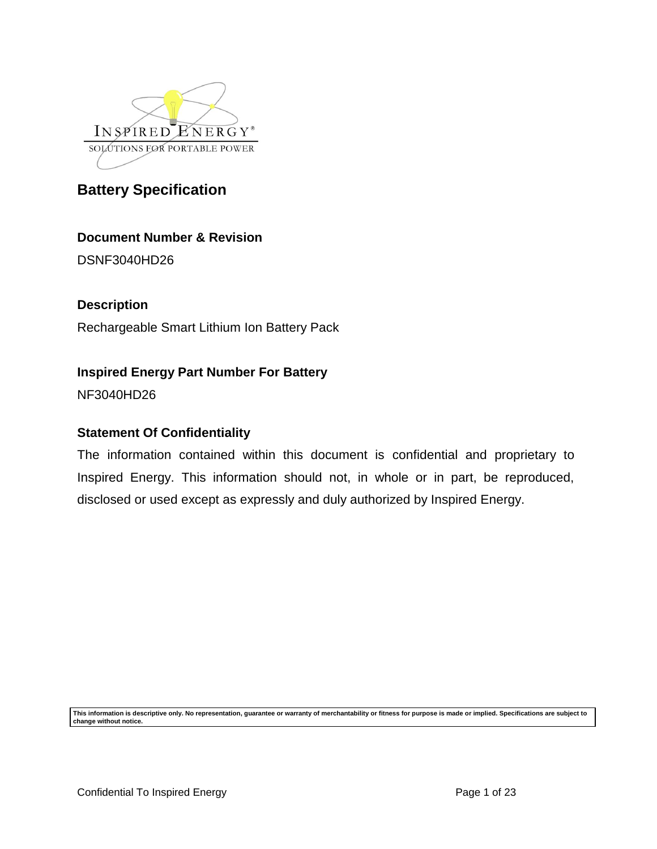

## **Document Number & Revision**

DSNF3040HD26

# **Description**

Rechargeable Smart Lithium Ion Battery Pack

## **Inspired Energy Part Number For Battery**

NF3040HD26

## **Statement Of Confidentiality**

The information contained within this document is confidential and proprietary to Inspired Energy. This information should not, in whole or in part, be reproduced, disclosed or used except as expressly and duly authorized by Inspired Energy.

**This information is descriptive only. No representation, guarantee or warranty of merchantability or fitness for purpose is made or implied. Specifications are subject to change without notice.**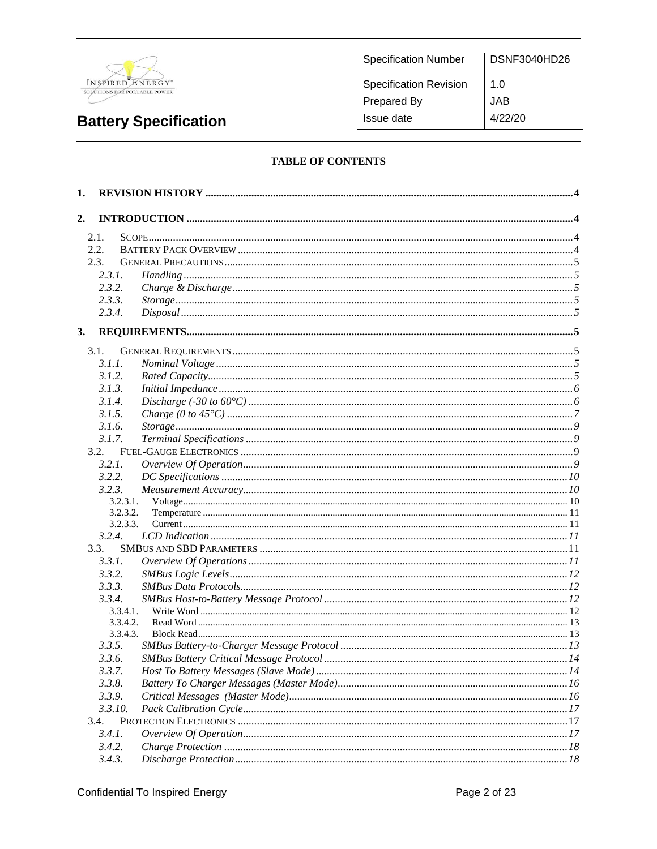

| <b>Specification Number</b>   | DSNF3040HD26 |
|-------------------------------|--------------|
| <b>Specification Revision</b> | 1. $\Omega$  |
| Prepared By                   | JAB.         |
| Issue date                    | 4/22/20      |

#### **TABLE OF CONTENTS**

| 1.               |          |  |
|------------------|----------|--|
| 2.               |          |  |
| 2.1.             |          |  |
| 2.2.             |          |  |
| 2.3.             |          |  |
| 2.3.1.           |          |  |
| 2.3.2.           |          |  |
| 2.3.3.           |          |  |
| 2.3.4.           |          |  |
| 3.               |          |  |
| 3.1.             |          |  |
| 3.1.1.           |          |  |
| 3.1.2.           |          |  |
| 3.1.3.           |          |  |
| 3.1.4.           |          |  |
| 3.1.5.           |          |  |
| 3.1.6.           |          |  |
| 3.1.7.           |          |  |
| 3.2.             |          |  |
| 3.2.1.           |          |  |
| 3.2.2.           |          |  |
| 3.2.3.           |          |  |
|                  | 3.2.3.1. |  |
|                  | 3.2.3.2. |  |
|                  | 3.2.3.3. |  |
| 3.2.4.           |          |  |
| 3.3.             |          |  |
| 3.3.1.           |          |  |
| 3.3.2.           |          |  |
| 3.3.3.           |          |  |
| 3.3.4.           |          |  |
|                  | 3.3.4.1. |  |
|                  | 3.3.4.2. |  |
| 3.3.5.           | 3.3.4.3. |  |
| 3.3.6.           |          |  |
|                  |          |  |
| 3.3.7.           |          |  |
| 3.3.8.<br>3.3.9. |          |  |
| 3.3.10.          |          |  |
| 3.4.             |          |  |
| 3.4.1            |          |  |
| 3.4.2.           |          |  |
|                  |          |  |
| 3.4.3.           |          |  |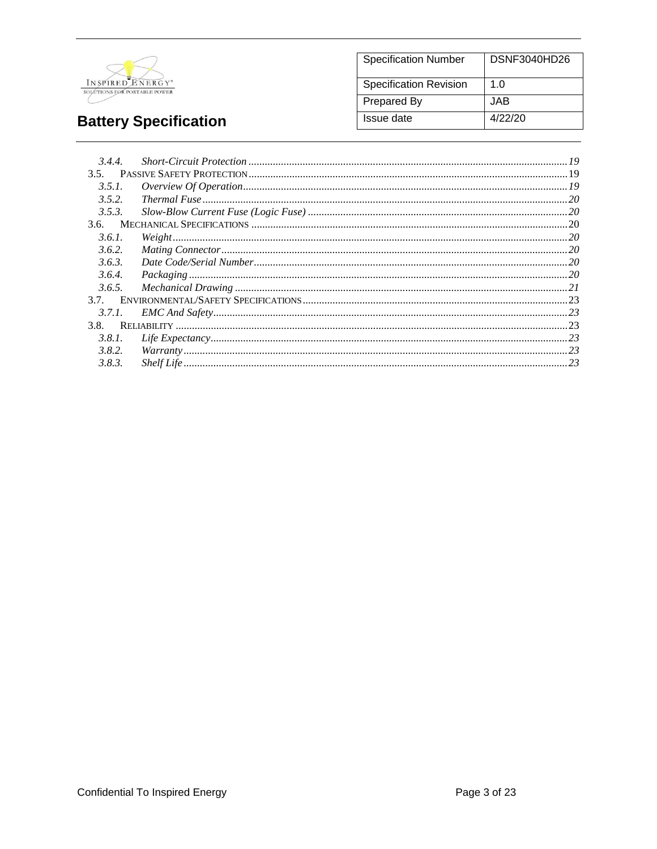

#### **Specification Number DSNF3040HD26** Specification Revision  $1.0$ **Prepared By JAB Issue date**  $4/22/20$

# **Battery Specification**

| 3.4.4. |           |  |
|--------|-----------|--|
| 3.5.   |           |  |
| 3.5.1. |           |  |
| 3.5.2. |           |  |
| 3.5.3. |           |  |
|        |           |  |
| 3.6.1. | Weight 20 |  |
| 3.6.2. |           |  |
| 3.6.3. |           |  |
| 3.6.4. |           |  |
| 3.6.5. |           |  |
| 3.7.   |           |  |
| 3.7.1. |           |  |
| 3.8.   |           |  |
| 3.8.1. |           |  |
| 3.8.2. |           |  |
| 3.8.3. |           |  |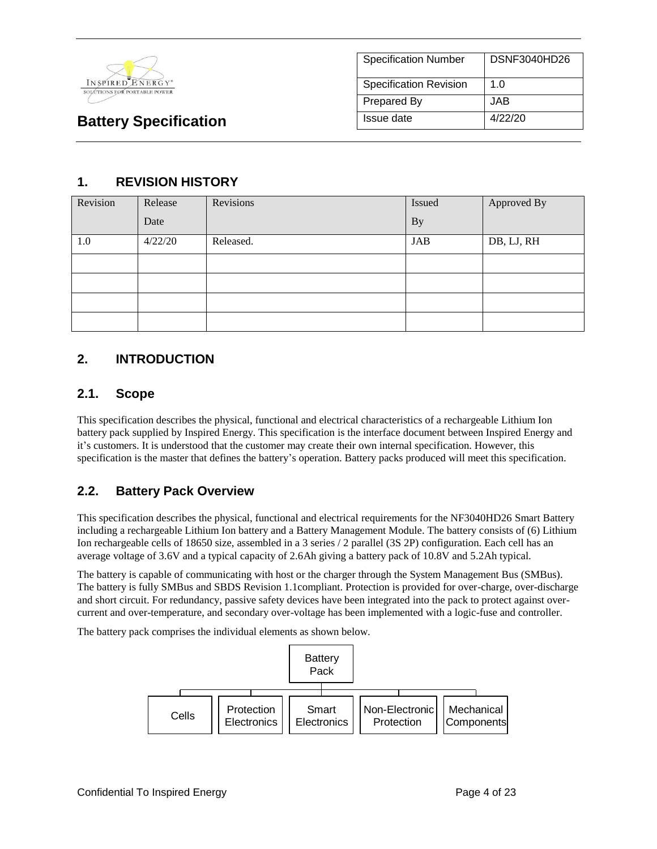

| <b>Specification Number</b>   | <b>DSNF3040HD26</b> |
|-------------------------------|---------------------|
| <b>Specification Revision</b> | 1.0                 |
| <b>Prepared By</b>            | JAB                 |
| Issue date                    | 4/22/20             |

## **1. REVISION HISTORY**

| Revision | Release | Revisions | Issued    | Approved By |
|----------|---------|-----------|-----------|-------------|
|          | Date    |           | <b>By</b> |             |
| 1.0      | 4/22/20 | Released. | JAB       | DB, LJ, RH  |
|          |         |           |           |             |
|          |         |           |           |             |
|          |         |           |           |             |
|          |         |           |           |             |

## **2. INTRODUCTION**

#### **2.1. Scope**

This specification describes the physical, functional and electrical characteristics of a rechargeable Lithium Ion battery pack supplied by Inspired Energy. This specification is the interface document between Inspired Energy and it's customers. It is understood that the customer may create their own internal specification. However, this specification is the master that defines the battery's operation. Battery packs produced will meet this specification.

## **2.2. Battery Pack Overview**

This specification describes the physical, functional and electrical requirements for the NF3040HD26 Smart Battery including a rechargeable Lithium Ion battery and a Battery Management Module. The battery consists of (6) Lithium Ion rechargeable cells of 18650 size, assembled in a 3 series / 2 parallel (3S 2P) configuration. Each cell has an average voltage of 3.6V and a typical capacity of 2.6Ah giving a battery pack of 10.8V and 5.2Ah typical.

The battery is capable of communicating with host or the charger through the System Management Bus (SMBus). The battery is fully SMBus and SBDS Revision 1.1compliant. Protection is provided for over-charge, over-discharge and short circuit. For redundancy, passive safety devices have been integrated into the pack to protect against overcurrent and over-temperature, and secondary over-voltage has been implemented with a logic-fuse and controller.

The battery pack comprises the individual elements as shown below.

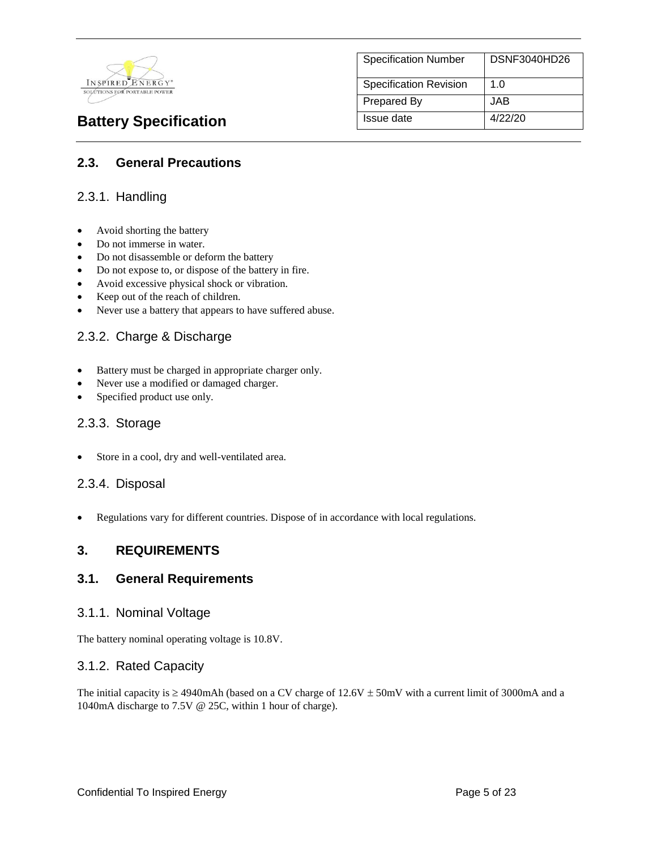

Specification Number | DSNF3040HD26 Specification Revision | 1.0 Prepared By **JAB Battery Specification** Issue date 4/22/20

#### **2.3. General Precautions**

#### 2.3.1. Handling

- Avoid shorting the battery
- Do not immerse in water.
- Do not disassemble or deform the battery
- Do not expose to, or dispose of the battery in fire.
- Avoid excessive physical shock or vibration.
- Keep out of the reach of children.
- Never use a battery that appears to have suffered abuse.

#### 2.3.2. Charge & Discharge

- Battery must be charged in appropriate charger only.
- Never use a modified or damaged charger.
- Specified product use only.

#### 2.3.3. Storage

Store in a cool, dry and well-ventilated area.

#### 2.3.4. Disposal

Regulations vary for different countries. Dispose of in accordance with local regulations.

#### **3. REQUIREMENTS**

#### **3.1. General Requirements**

#### 3.1.1. Nominal Voltage

The battery nominal operating voltage is 10.8V.

#### 3.1.2. Rated Capacity

The initial capacity is  $\geq$  4940mAh (based on a CV charge of 12.6V  $\pm$  50mV with a current limit of 3000mA and a 1040mA discharge to 7.5V @ 25C, within 1 hour of charge).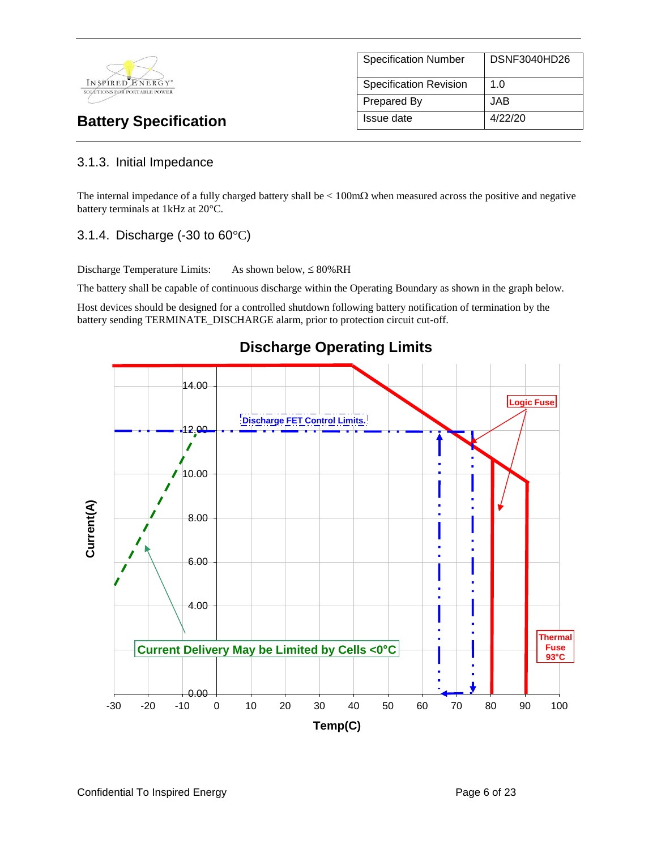

# Specification Number | DSNF3040HD26 Specification Revision | 1.0 Prepared By JAB **Battery Specification** Issue date 4/22/20

## 3.1.3. Initial Impedance

The internal impedance of a fully charged battery shall be  $\lt 100 \text{m}\Omega$  when measured across the positive and negative battery terminals at 1kHz at 20°C.

## 3.1.4. Discharge (-30 to 60°C)

Discharge Temperature Limits: As shown below,  $\leq 80\%RH$ 

The battery shall be capable of continuous discharge within the Operating Boundary as shown in the graph below.

Host devices should be designed for a controlled shutdown following battery notification of termination by the battery sending TERMINATE\_DISCHARGE alarm, prior to protection circuit cut-off.



# **Discharge Operating Limits**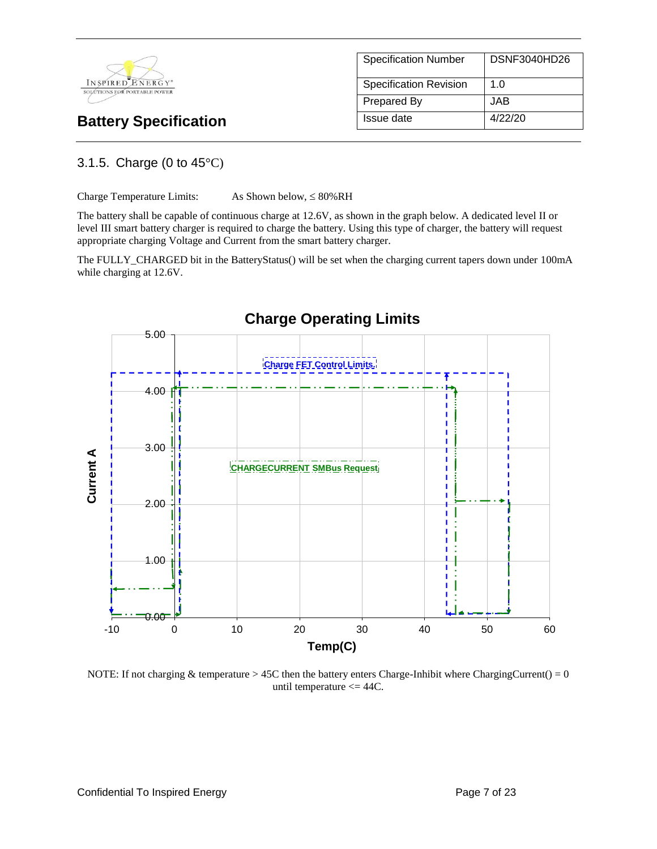

Specification Number | DSNF3040HD26 Specification Revision | 1.0 Prepared By **JAB Battery Specification** Issue date 4/22/20

## 3.1.5. Charge (0 to 45°C)

Charge Temperature Limits: As Shown below,  $\leq 80\%$  RH

The battery shall be capable of continuous charge at 12.6V, as shown in the graph below. A dedicated level II or level III smart battery charger is required to charge the battery. Using this type of charger, the battery will request appropriate charging Voltage and Current from the smart battery charger.

The FULLY\_CHARGED bit in the BatteryStatus() will be set when the charging current tapers down under 100mA while charging at 12.6V.



NOTE: If not charging & temperature > 45C then the battery enters Charge-Inhibit where ChargingCurrent() =  $0$ until temperature  $\leq$  44C.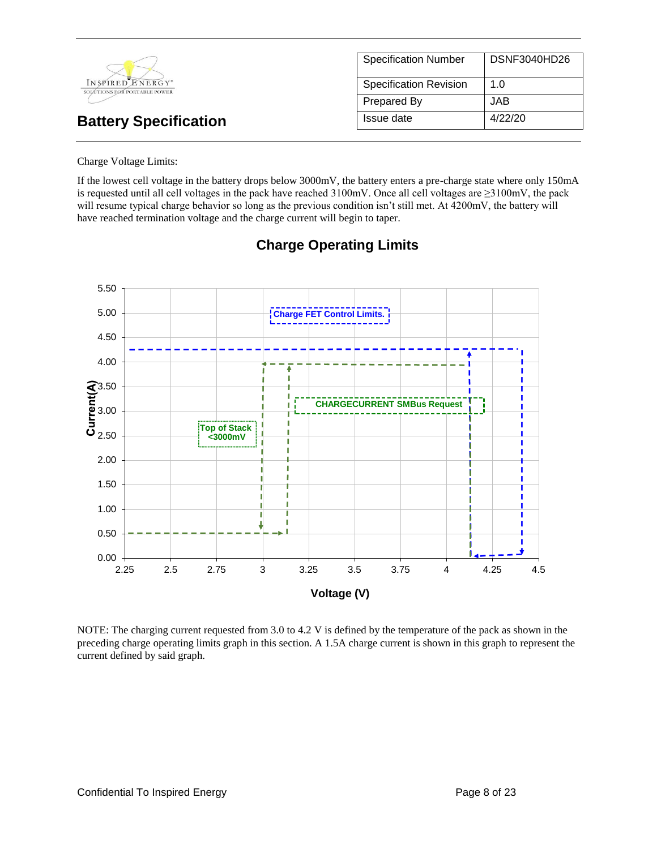| INSPIRED ENERGY*<br>SOLUTIONS FOR PORTABLE POWER | <b>Specification Number</b>   | DSNF3040HD26 |
|--------------------------------------------------|-------------------------------|--------------|
|                                                  | <b>Specification Revision</b> | 1.0          |
|                                                  | Prepared By                   | JAB          |
| <b>Battery Specification</b>                     | Issue date                    | 4/22/20      |

Charge Voltage Limits:

If the lowest cell voltage in the battery drops below 3000mV, the battery enters a pre-charge state where only 150mA is requested until all cell voltages in the pack have reached 3100mV. Once all cell voltages are ≥3100mV, the pack will resume typical charge behavior so long as the previous condition isn't still met. At 4200mV, the battery will have reached termination voltage and the charge current will begin to taper.



## **Charge Operating Limits**

NOTE: The charging current requested from 3.0 to 4.2 V is defined by the temperature of the pack as shown in the preceding charge operating limits graph in this section. A 1.5A charge current is shown in this graph to represent the current defined by said graph.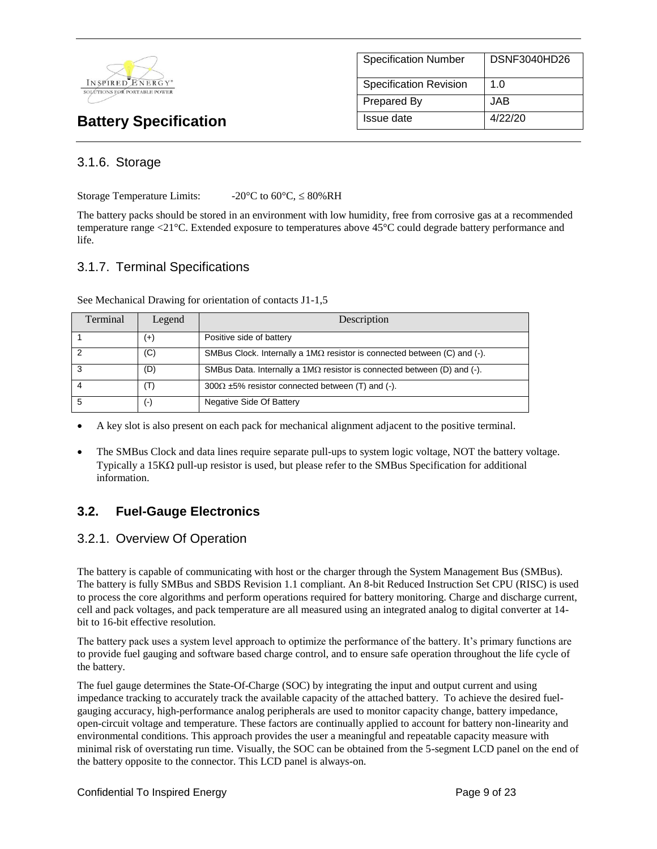

| <b>Specification Number</b>   | DSNF3040HD26 |
|-------------------------------|--------------|
| <b>Specification Revision</b> | 1. $\Omega$  |
| Prepared By                   | JAB.         |
| Issue date                    | 4/22/20      |

#### 3.1.6. Storage

Storage Temperature Limits:  $-20^{\circ}$ C to 60 $^{\circ}$ C,  $\leq 80\%$ RH

The battery packs should be stored in an environment with low humidity, free from corrosive gas at a recommended temperature range <21°C. Extended exposure to temperatures above 45°C could degrade battery performance and life.

#### 3.1.7. Terminal Specifications

| Terminal | Legend             | Description                                                                     |
|----------|--------------------|---------------------------------------------------------------------------------|
|          | $^{(+)}$           | Positive side of battery                                                        |
|          | (C)                | SMBus Clock. Internally a $1M\Omega$ resistor is connected between (C) and (-). |
| 3        | (D)                | SMBus Data. Internally a $1M\Omega$ resistor is connected between (D) and (-).  |
|          | $(\mathsf{T})$     | $300\Omega \pm 5\%$ resistor connected between (T) and (-).                     |
|          | $(\textnormal{-})$ | Negative Side Of Battery                                                        |

A key slot is also present on each pack for mechanical alignment adjacent to the positive terminal.

 The SMBus Clock and data lines require separate pull-ups to system logic voltage, NOT the battery voltage. Typically a 15K $\Omega$  pull-up resistor is used, but please refer to the SMBus Specification for additional information.

## **3.2. Fuel-Gauge Electronics**

#### 3.2.1. Overview Of Operation

The battery is capable of communicating with host or the charger through the System Management Bus (SMBus). The battery is fully SMBus and SBDS Revision 1.1 compliant. An 8-bit Reduced Instruction Set CPU (RISC) is used to process the core algorithms and perform operations required for battery monitoring. Charge and discharge current, cell and pack voltages, and pack temperature are all measured using an integrated analog to digital converter at 14 bit to 16-bit effective resolution.

The battery pack uses a system level approach to optimize the performance of the battery. It's primary functions are to provide fuel gauging and software based charge control, and to ensure safe operation throughout the life cycle of the battery.

The fuel gauge determines the State-Of-Charge (SOC) by integrating the input and output current and using impedance tracking to accurately track the available capacity of the attached battery. To achieve the desired fuelgauging accuracy, high-performance analog peripherals are used to monitor capacity change, battery impedance, open-circuit voltage and temperature. These factors are continually applied to account for battery non-linearity and environmental conditions. This approach provides the user a meaningful and repeatable capacity measure with minimal risk of overstating run time. Visually, the SOC can be obtained from the 5-segment LCD panel on the end of the battery opposite to the connector. This LCD panel is always-on.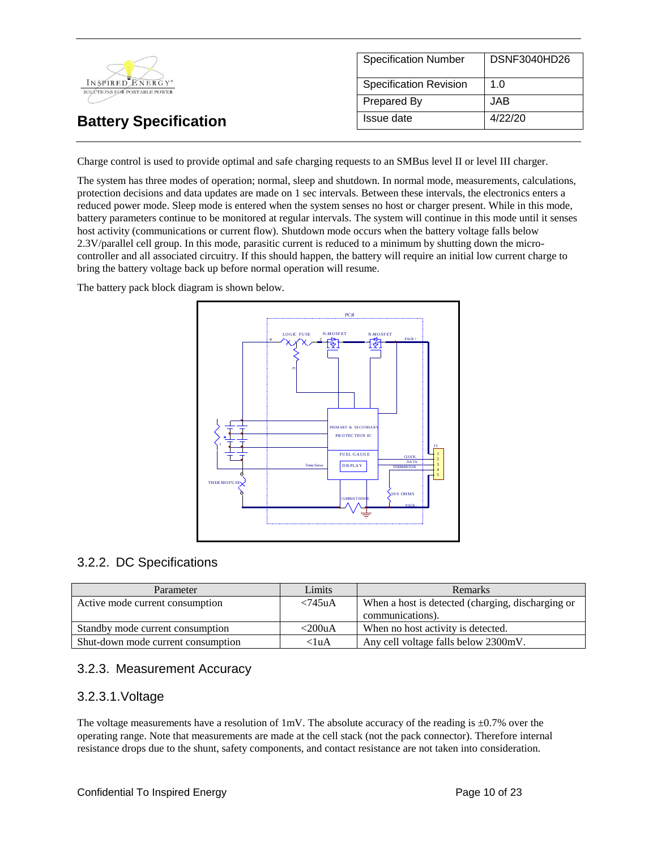

Charge control is used to provide optimal and safe charging requests to an SMBus level II or level III charger.

The system has three modes of operation; normal, sleep and shutdown. In normal mode, measurements, calculations, protection decisions and data updates are made on 1 sec intervals. Between these intervals, the electronics enters a reduced power mode. Sleep mode is entered when the system senses no host or charger present. While in this mode, battery parameters continue to be monitored at regular intervals. The system will continue in this mode until it senses host activity (communications or current flow). Shutdown mode occurs when the battery voltage falls below 2.3V/parallel cell group. In this mode, parasitic current is reduced to a minimum by shutting down the microcontroller and all associated circuitry. If this should happen, the battery will require an initial low current charge to bring the battery voltage back up before normal operation will resume.

The battery pack block diagram is shown below.



#### 3.2.2. DC Specifications

| Parameter                          | Limits     | <b>Remarks</b>                                    |
|------------------------------------|------------|---------------------------------------------------|
| Active mode current consumption    | $< 745$ uA | When a host is detected (charging, discharging or |
|                                    |            | communications).                                  |
| Standby mode current consumption   | $<$ 200uA  | When no host activity is detected.                |
| Shut-down mode current consumption | $<$ luA    | Any cell voltage falls below 2300mV.              |

#### 3.2.3. Measurement Accuracy

#### 3.2.3.1.Voltage

The voltage measurements have a resolution of  $1 \text{mV}$ . The absolute accuracy of the reading is  $\pm 0.7\%$  over the operating range. Note that measurements are made at the cell stack (not the pack connector). Therefore internal resistance drops due to the shunt, safety components, and contact resistance are not taken into consideration.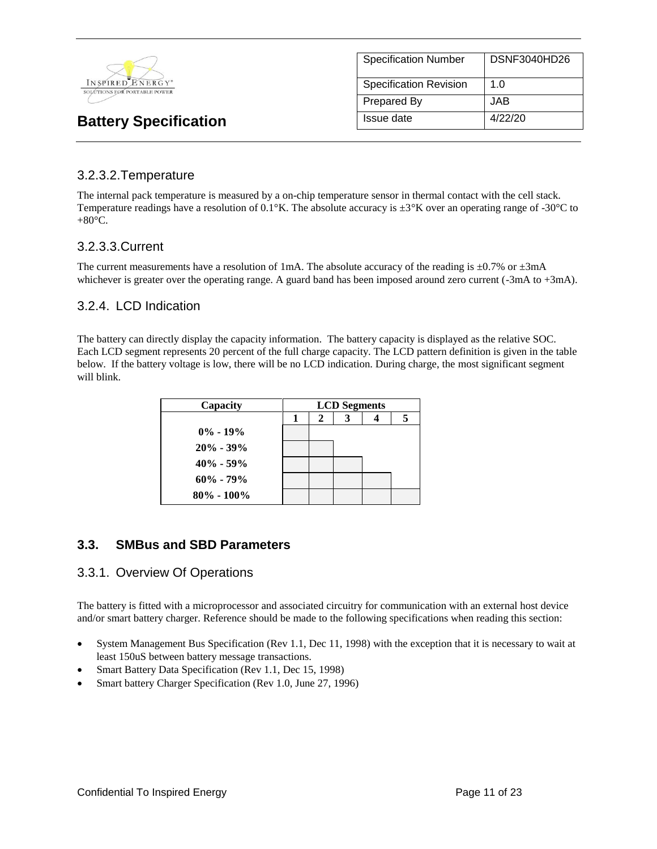

| <b>Specification Number</b>   | <b>DSNF3040HD26</b> |
|-------------------------------|---------------------|
| <b>Specification Revision</b> | 1.0                 |
| <b>Prepared By</b>            | JAB.                |
| Issue date                    | 4/22/20             |

#### 3.2.3.2.Temperature

The internal pack temperature is measured by a on-chip temperature sensor in thermal contact with the cell stack. Temperature readings have a resolution of 0.1°K. The absolute accuracy is  $\pm 3^{\circ}K$  over an operating range of -30°C to  $+80^{\circ}$ C.

#### 3.2.3.3.Current

The current measurements have a resolution of 1mA. The absolute accuracy of the reading is  $\pm 0.7\%$  or  $\pm 3$ mA whichever is greater over the operating range. A guard band has been imposed around zero current (-3mA to +3mA).

#### 3.2.4. LCD Indication

The battery can directly display the capacity information. The battery capacity is displayed as the relative SOC. Each LCD segment represents 20 percent of the full charge capacity. The LCD pattern definition is given in the table below. If the battery voltage is low, there will be no LCD indication. During charge, the most significant segment will blink.

| Capacity       | <b>LCD</b> Segments |   |  |  |   |
|----------------|---------------------|---|--|--|---|
|                | -1                  | 2 |  |  | 5 |
| $0\% - 19\%$   |                     |   |  |  |   |
| $20\% - 39\%$  |                     |   |  |  |   |
| $40\% - 59\%$  |                     |   |  |  |   |
| $60\% - 79\%$  |                     |   |  |  |   |
| $80\% - 100\%$ |                     |   |  |  |   |

## **3.3. SMBus and SBD Parameters**

#### 3.3.1. Overview Of Operations

The battery is fitted with a microprocessor and associated circuitry for communication with an external host device and/or smart battery charger. Reference should be made to the following specifications when reading this section:

- System Management Bus Specification (Rev 1.1, Dec 11, 1998) with the exception that it is necessary to wait at least 150uS between battery message transactions.
- Smart Battery Data Specification (Rev 1.1, Dec 15, 1998)
- Smart battery Charger Specification (Rev 1.0, June 27, 1996)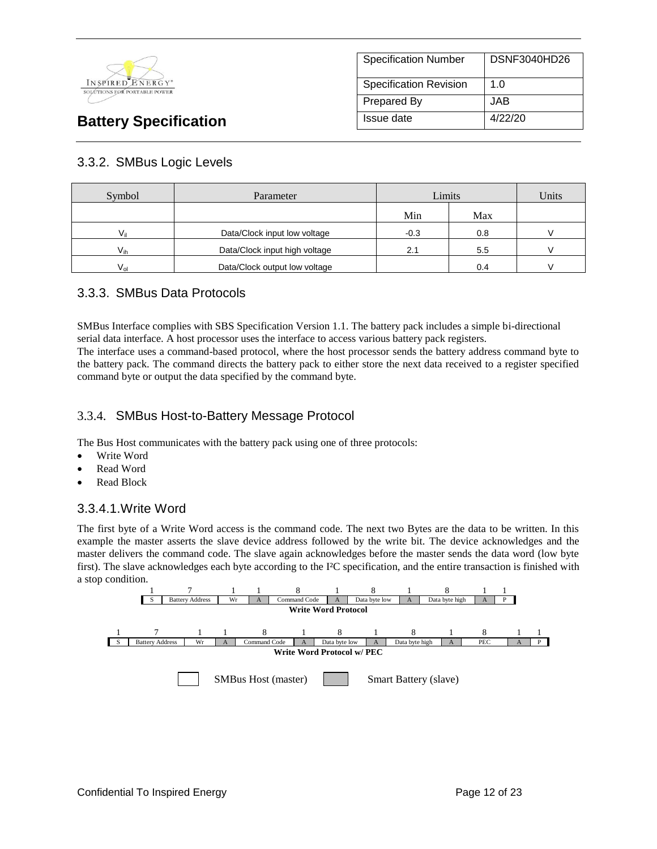

| <b>Specification Number</b>   | DSNF3040HD26 |
|-------------------------------|--------------|
| <b>Specification Revision</b> | 1.0          |
| Prepared By                   | JAB.         |
| Issue date                    | 4/22/20      |

## 3.3.2. SMBus Logic Levels

| Symbol   | Limits<br>Parameter           |     | Units |  |
|----------|-------------------------------|-----|-------|--|
|          |                               | Min | Max   |  |
| Vil      | Data/Clock input low voltage  |     | 0.8   |  |
| $V_{ih}$ | Data/Clock input high voltage |     | 5.5   |  |
| $V_{nl}$ | Data/Clock output low voltage |     | 0.4   |  |

## 3.3.3. SMBus Data Protocols

SMBus Interface complies with SBS Specification Version 1.1. The battery pack includes a simple bi-directional serial data interface. A host processor uses the interface to access various battery pack registers.

The interface uses a command-based protocol, where the host processor sends the battery address command byte to the battery pack. The command directs the battery pack to either store the next data received to a register specified command byte or output the data specified by the command byte.

#### 3.3.4. SMBus Host-to-Battery Message Protocol

The Bus Host communicates with the battery pack using one of three protocols:

- Write Word
- Read Word
- Read Block

#### 3.3.4.1.Write Word

The first byte of a Write Word access is the command code. The next two Bytes are the data to be written. In this example the master asserts the slave device address followed by the write bit. The device acknowledges and the master delivers the command code. The slave again acknowledges before the master sends the data word (low byte first). The slave acknowledges each byte according to the I²C specification, and the entire transaction is finished with a stop condition.

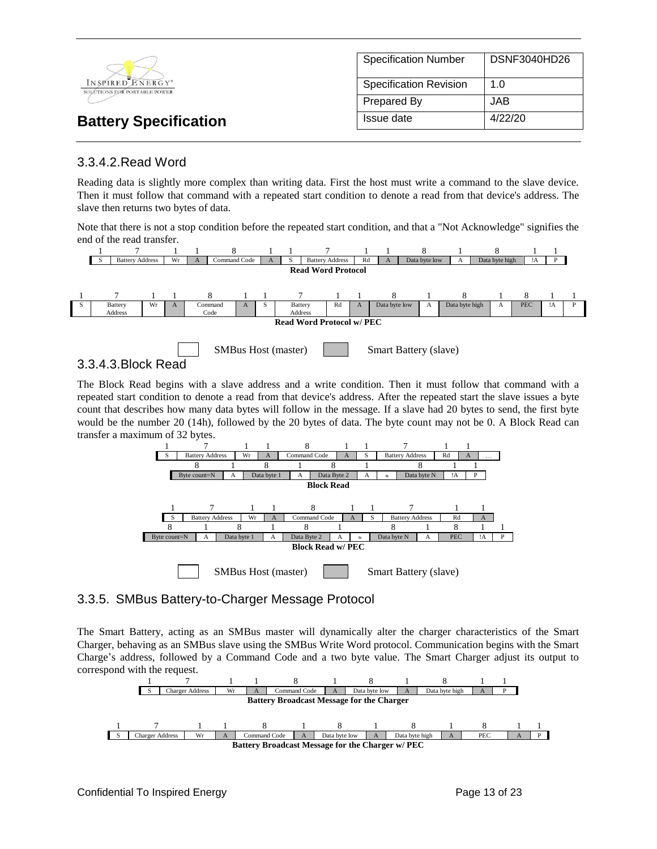

#### 3.3.4.2.Read Word

Reading data is slightly more complex than writing data. First the host must write a command to the slave device. Then it must follow that command with a repeated start condition to denote a read from that device's address. The slave then returns two bytes of data.

Note that there is not a stop condition before the repeated start condition, and that a "Not Acknowledge" signifies the end of the read transfer.





3.3.4.3.Block Read

The Block Read begins with a slave address and a write condition. Then it must follow that command with a repeated start condition to denote a read from that device's address. After the repeated start the slave issues a byte count that describes how many data bytes will follow in the message. If a slave had 20 bytes to send, the first byte would be the number 20 (14h), followed by the 20 bytes of data. The byte count may not be 0. A Block Read can transfer a maximum of 32 bytes.



#### 3.3.5. SMBus Battery-to-Charger Message Protocol

The Smart Battery, acting as an SMBus master will dynamically alter the charger characteristics of the Smart Charger, behaving as an SMBus slave using the SMBus Write Word protocol. Communication begins with the Smart Charge's address, followed by a Command Code and a two byte value. The Smart Charger adjust its output to correspond with the request.

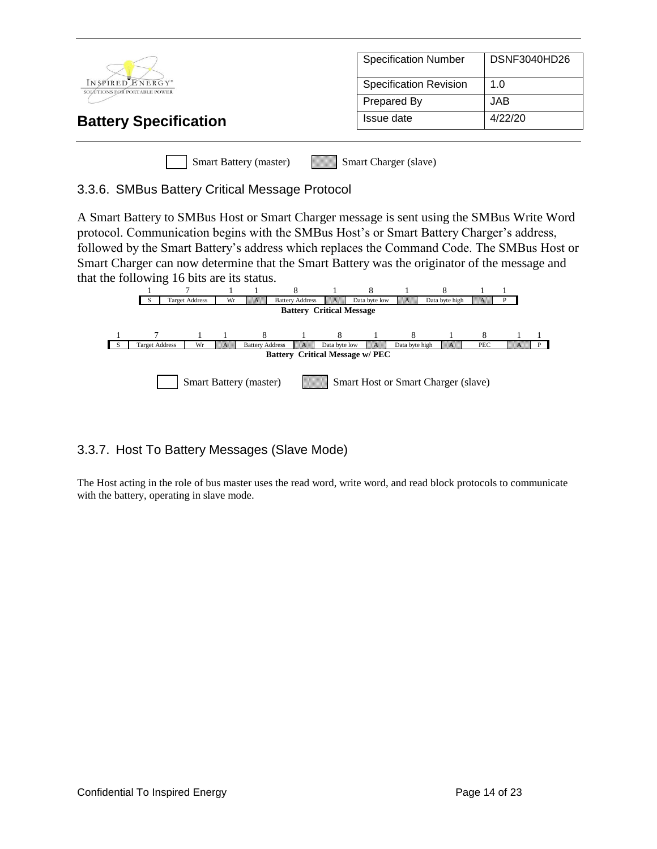|                                                  | <b>Specification Number</b>   | DSNF3040HD26 |
|--------------------------------------------------|-------------------------------|--------------|
| INSPIRED ENERGY*<br>SOLÚTIONS FOR PORTABLE POWER | <b>Specification Revision</b> | 1.0          |
|                                                  | Prepared By                   | <b>JAB</b>   |
| <b>Battery Specification</b>                     | Issue date                    | 4/22/20      |
|                                                  |                               |              |
| <b>Smart Battery (master)</b>                    | Smart Charger (slave)         |              |

#### 3.3.6. SMBus Battery Critical Message Protocol

A Smart Battery to SMBus Host or Smart Charger message is sent using the SMBus Write Word protocol. Communication begins with the SMBus Host's or Smart Battery Charger's address, followed by the Smart Battery's address which replaces the Command Code. The SMBus Host or Smart Charger can now determine that the Smart Battery was the originator of the message and that the following 16 bits are its status.



## 3.3.7. Host To Battery Messages (Slave Mode)

The Host acting in the role of bus master uses the read word, write word, and read block protocols to communicate with the battery, operating in slave mode.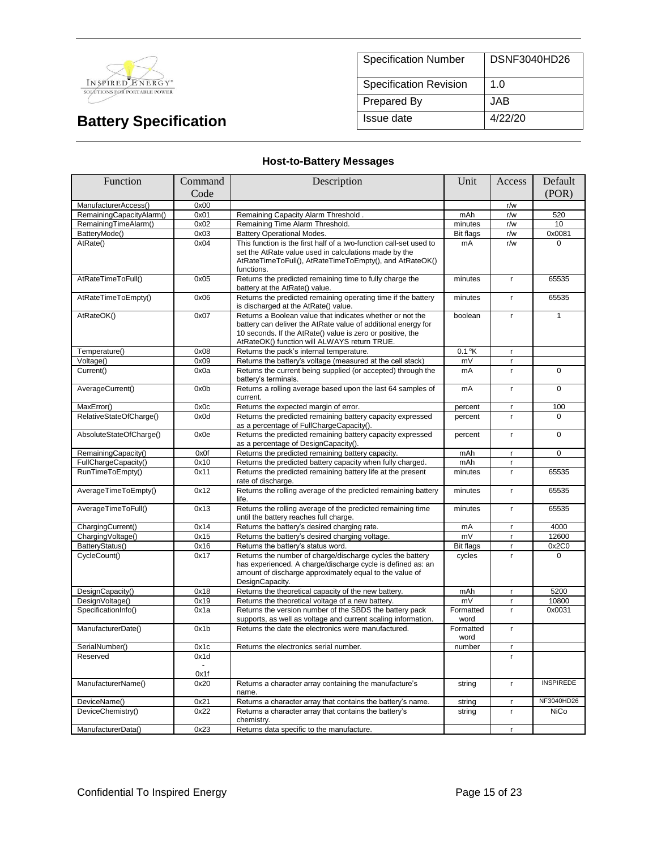

| <b>Specification Number</b>   | DSNF3040HD26 |
|-------------------------------|--------------|
| <b>Specification Revision</b> | 1.0          |
| <b>Prepared By</b>            | JAB.         |
| Issue date                    | 4/22/20      |

#### **Host-to-Battery Messages**

| Function                 | Command | Description                                                                                                                                                                                                                              | Unit              | Access       | Default          |
|--------------------------|---------|------------------------------------------------------------------------------------------------------------------------------------------------------------------------------------------------------------------------------------------|-------------------|--------------|------------------|
|                          | Code    |                                                                                                                                                                                                                                          |                   |              | (POR)            |
| ManufacturerAccess()     | 0x00    |                                                                                                                                                                                                                                          |                   | r/w          |                  |
| RemainingCapacityAlarm() | 0x01    | Remaining Capacity Alarm Threshold.                                                                                                                                                                                                      | mAh               | r/w          | 520              |
| RemainingTimeAlarm()     | 0x02    | Remaining Time Alarm Threshold.                                                                                                                                                                                                          | minutes           | r/w          | 10               |
| BatteryMode()            | 0x03    | <b>Battery Operational Modes.</b>                                                                                                                                                                                                        | <b>Bit flags</b>  | r/w          | 0x0081           |
| AtRate()                 | 0x04    | This function is the first half of a two-function call-set used to<br>set the AtRate value used in calculations made by the<br>AtRateTimeToFull(), AtRateTimeToEmpty(), and AtRateOK()<br>functions.                                     | mA                | r/w          | $\Omega$         |
| AtRateTimeToFull()       | 0x05    | Returns the predicted remaining time to fully charge the<br>battery at the AtRate() value.                                                                                                                                               | minutes           | $\mathbf{r}$ | 65535            |
| AtRateTimeToEmpty()      | 0x06    | Returns the predicted remaining operating time if the battery<br>is discharged at the AtRate() value.                                                                                                                                    | minutes           | r.           | 65535            |
| AtRateOK()               | 0x07    | Returns a Boolean value that indicates whether or not the<br>battery can deliver the AtRate value of additional energy for<br>10 seconds. If the AtRate() value is zero or positive, the<br>AtRateOK() function will ALWAYS return TRUE. | boolean           | $\mathbf{r}$ | $\mathbf{1}$     |
| Temperature()            | 0x08    | Returns the pack's internal temperature.                                                                                                                                                                                                 | $0.1$ °K          | $\mathsf{r}$ |                  |
| Voltage()                | 0x09    | Returns the battery's voltage (measured at the cell stack)                                                                                                                                                                               | mV                | r            |                  |
| Current()                | 0x0a    | Returns the current being supplied (or accepted) through the<br>battery's terminals.                                                                                                                                                     | mA                | $\mathbf r$  | $\overline{0}$   |
| AverageCurrent()         | 0x0b    | Returns a rolling average based upon the last 64 samples of<br>current.                                                                                                                                                                  | mA                | $\mathbf{r}$ | $\Omega$         |
| MaxError()               | 0x0c    | Returns the expected margin of error.                                                                                                                                                                                                    | percent           | $\mathbf{r}$ | 100              |
| RelativeStateOfCharge()  | 0x0d    | Returns the predicted remaining battery capacity expressed<br>as a percentage of FullChargeCapacity().                                                                                                                                   | percent           | $\mathbf{r}$ | 0                |
| AbsoluteStateOfCharge()  | 0x0e    | Returns the predicted remaining battery capacity expressed<br>as a percentage of DesignCapacity().                                                                                                                                       | percent           | $\mathbf{r}$ | 0                |
| RemainingCapacity()      | 0x0f    | Returns the predicted remaining battery capacity.                                                                                                                                                                                        | mAh               | r.           | $\Omega$         |
| FullChargeCapacity()     | 0x10    | Returns the predicted battery capacity when fully charged.                                                                                                                                                                               | mAh               | $\mathbf{r}$ |                  |
| RunTimeToEmpty()         | 0x11    | Returns the predicted remaining battery life at the present<br>rate of discharge.                                                                                                                                                        | minutes           | $\mathbf{r}$ | 65535            |
| AverageTimeToEmpty()     | 0x12    | Returns the rolling average of the predicted remaining battery<br>life.                                                                                                                                                                  | minutes           | $\mathbf{r}$ | 65535            |
| AverageTimeToFull()      | 0x13    | Returns the rolling average of the predicted remaining time<br>until the battery reaches full charge.                                                                                                                                    | minutes           | $\mathbf{r}$ | 65535            |
| ChargingCurrent()        | 0x14    | Returns the battery's desired charging rate.                                                                                                                                                                                             | mA                | $\mathbf{r}$ | 4000             |
| ChargingVoltage()        | 0x15    | Returns the battery's desired charging voltage.                                                                                                                                                                                          | mV                | $\mathsf{r}$ | 12600            |
| BatteryStatus()          | 0x16    | Returns the battery's status word.                                                                                                                                                                                                       | <b>Bit flags</b>  | $\mathbf{r}$ | 0x2C0            |
| CycleCount()             | 0x17    | Returns the number of charge/discharge cycles the battery<br>has experienced. A charge/discharge cycle is defined as: an<br>amount of discharge approximately equal to the value of<br>DesignCapacity.                                   | cycles            | $\mathbf{r}$ | $\Omega$         |
| DesignCapacity()         | 0x18    | Returns the theoretical capacity of the new battery.                                                                                                                                                                                     | mAh               | $\mathsf{r}$ | 5200             |
| DesignVoltage()          | 0x19    | Returns the theoretical voltage of a new battery.                                                                                                                                                                                        | mV                | $\mathbf{r}$ | 10800            |
| SpecificationInfo()      | 0x1a    | Returns the version number of the SBDS the battery pack<br>supports, as well as voltage and current scaling information.                                                                                                                 | Formatted<br>word | r.           | 0x0031           |
| ManufacturerDate()       | 0x1b    | Returns the date the electronics were manufactured.                                                                                                                                                                                      | Formatted<br>word | $\mathbf{r}$ |                  |
| SerialNumber()           | 0x1c    | Returns the electronics serial number.                                                                                                                                                                                                   | number            | $\mathbf{r}$ |                  |
| Reserved                 | 0x1d    |                                                                                                                                                                                                                                          |                   | r.           |                  |
|                          | 0x1f    |                                                                                                                                                                                                                                          |                   |              |                  |
| ManufacturerName()       | 0x20    | Returns a character array containing the manufacture's<br>name.                                                                                                                                                                          | string            | $\mathbf{r}$ | <b>INSPIREDE</b> |
| DeviceName()             | 0x21    | Returns a character array that contains the battery's name.                                                                                                                                                                              | string            | $\mathbf{r}$ | NF3040HD26       |
| DeviceChemistry()        | 0x22    | Returns a character array that contains the battery's<br>chemistry.                                                                                                                                                                      | string            | $\mathbf{r}$ | <b>NiCo</b>      |
| ManufacturerData()       | 0x23    | Returns data specific to the manufacture.                                                                                                                                                                                                |                   | r            |                  |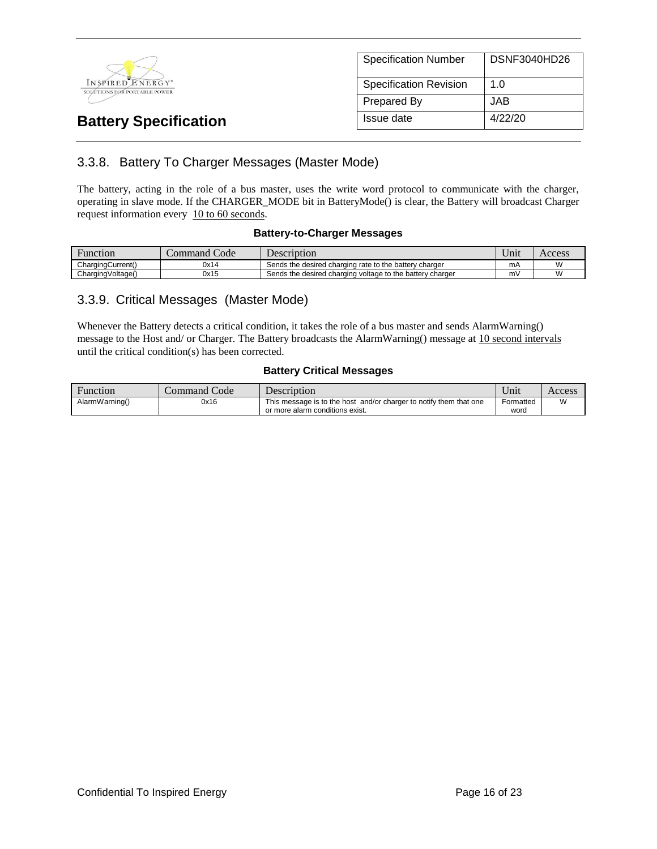

| <b>Specification Number</b>   | <b>DSNF3040HD26</b> |
|-------------------------------|---------------------|
| <b>Specification Revision</b> | 1. $\Omega$         |
| <b>Prepared By</b>            | JAB                 |
| Issue date                    | 4/22/20             |

## 3.3.8. Battery To Charger Messages (Master Mode)

The battery, acting in the role of a bus master, uses the write word protocol to communicate with the charger, operating in slave mode. If the CHARGER\_MODE bit in BatteryMode() is clear, the Battery will broadcast Charger request information every 10 to 60 seconds.

#### **Battery-to-Charger Messages**

| <b>Function</b>   | Code<br>.ommand | <b>Description</b>                                        |    | Access    |
|-------------------|-----------------|-----------------------------------------------------------|----|-----------|
| ChargingCurrent() | 0x14            | Sends the desired charging rate to the battery charger    | mA | W         |
| ChargingVoltage() | 0x15            | Sends the desired charging voltage to the battery charger |    | <b>VV</b> |

#### 3.3.9. Critical Messages (Master Mode)

Whenever the Battery detects a critical condition, it takes the role of a bus master and sends AlarmWarning() message to the Host and/ or Charger. The Battery broadcasts the AlarmWarning() message at 10 second intervals until the critical condition(s) has been corrected.

#### **Battery Critical Messages**

| Function       | Command Code | Description                                                        | ∪m1       | Access |
|----------------|--------------|--------------------------------------------------------------------|-----------|--------|
| AlarmWarning() | 0x16         | This message is to the host and/or charger to notify them that one | Formatted | M      |
|                |              | or more alarm conditions exist.                                    | word      |        |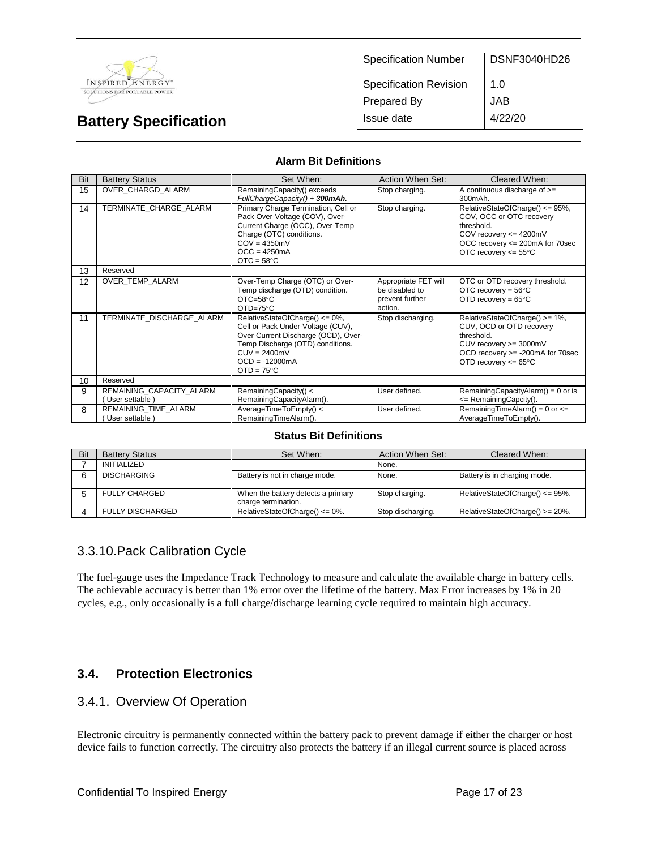

| <b>Specification Number</b>   | DSNF3040HD26 |
|-------------------------------|--------------|
| <b>Specification Revision</b> | 1.0          |
| Prepared By                   | JAB.         |
| Issue date                    | 4/22/20      |

#### **Alarm Bit Definitions**

| Bit | <b>Battery Status</b>                     | Set When:                                                                                                                                                                                                   | Action When Set:                                                     | Cleared When:                                                                                                                                                            |
|-----|-------------------------------------------|-------------------------------------------------------------------------------------------------------------------------------------------------------------------------------------------------------------|----------------------------------------------------------------------|--------------------------------------------------------------------------------------------------------------------------------------------------------------------------|
| 15  | OVER CHARGD ALARM                         | RemainingCapacity() exceeds<br>FullChargeCapacity() + 300mAh.                                                                                                                                               | Stop charging.                                                       | A continuous discharge of $>=$<br>300mAh.                                                                                                                                |
| 14  | TERMINATE CHARGE ALARM                    | Primary Charge Termination, Cell or<br>Pack Over-Voltage (COV), Over-<br>Current Charge (OCC), Over-Temp<br>Charge (OTC) conditions.<br>$COV = 4350mV$<br>$OCC = 4250mA$<br>$OTC = 58°C$                    | Stop charging.                                                       | RelativeStateOfCharge() <= 95%,<br>COV, OCC or OTC recovery<br>threshold.<br>COV recovery <= 4200mV<br>OCC recovery <= 200mA for 70sec<br>OTC recovery $<= 55^{\circ}$ C |
| 13  | Reserved                                  |                                                                                                                                                                                                             |                                                                      |                                                                                                                                                                          |
| 12  | OVER TEMP ALARM                           | Over-Temp Charge (OTC) or Over-<br>Temp discharge (OTD) condition.<br>$OTC = 58°C$<br>$OTD=75^{\circ}C$                                                                                                     | Appropriate FET will<br>be disabled to<br>prevent further<br>action. | OTC or OTD recovery threshold.<br>OTC recovery = $56^{\circ}$ C<br>OTD recovery = $65^{\circ}$ C                                                                         |
| 11  | TERMINATE DISCHARGE ALARM                 | RelativeStateOfCharge() <= 0%,<br>Cell or Pack Under-Voltage (CUV),<br>Over-Current Discharge (OCD), Over-<br>Temp Discharge (OTD) conditions.<br>$CUV = 2400mV$<br>$OCD = -12000mA$<br>$OTD = 75^{\circ}C$ | Stop discharging.                                                    | RelativeStateOfCharge() >= 1%,<br>CUV, OCD or OTD recovery<br>threshold.<br>CUV recovery >= 3000mV<br>OCD recovery >= -200mA for 70sec<br>OTD recovery $<= 65^{\circ}$ C |
| 10  | Reserved                                  |                                                                                                                                                                                                             |                                                                      |                                                                                                                                                                          |
| 9   | REMAINING_CAPACITY_ALARM<br>User settable | RemainingCapacity() <<br>RemainingCapacityAlarm().                                                                                                                                                          | User defined.                                                        | RemainingCapacityAlarm() = $0$ or is<br><= RemainingCapcity().                                                                                                           |
| 8   | REMAINING TIME ALARM<br>User settable     | AverageTimeToEmpty() <<br>RemainingTimeAlarm().                                                                                                                                                             | User defined.                                                        | RemainingTimeAlarm() = $0$ or $\leq$<br>AverageTimeToEmpty().                                                                                                            |

#### **Status Bit Definitions**

| Bit | <b>Battery Status</b>   | Set When:                                                 | Action When Set:  | Cleared When:                   |
|-----|-------------------------|-----------------------------------------------------------|-------------------|---------------------------------|
|     | <b>INITIALIZED</b>      |                                                           | None.             |                                 |
|     | <b>DISCHARGING</b>      | Battery is not in charge mode.                            | None.             | Battery is in charging mode.    |
|     | <b>FULLY CHARGED</b>    | When the battery detects a primary<br>charge termination. | Stop charging.    | RelativeStateOfCharge() <= 95%. |
|     | <b>FULLY DISCHARGED</b> | RelativeStateOfCharge() $<= 0\%$ .                        | Stop discharging. | RelativeStateOfCharge() >= 20%. |

#### 3.3.10.Pack Calibration Cycle

The fuel-gauge uses the Impedance Track Technology to measure and calculate the available charge in battery cells. The achievable accuracy is better than 1% error over the lifetime of the battery. Max Error increases by 1% in 20 cycles, e.g., only occasionally is a full charge/discharge learning cycle required to maintain high accuracy.

## **3.4. Protection Electronics**

#### 3.4.1. Overview Of Operation

Electronic circuitry is permanently connected within the battery pack to prevent damage if either the charger or host device fails to function correctly. The circuitry also protects the battery if an illegal current source is placed across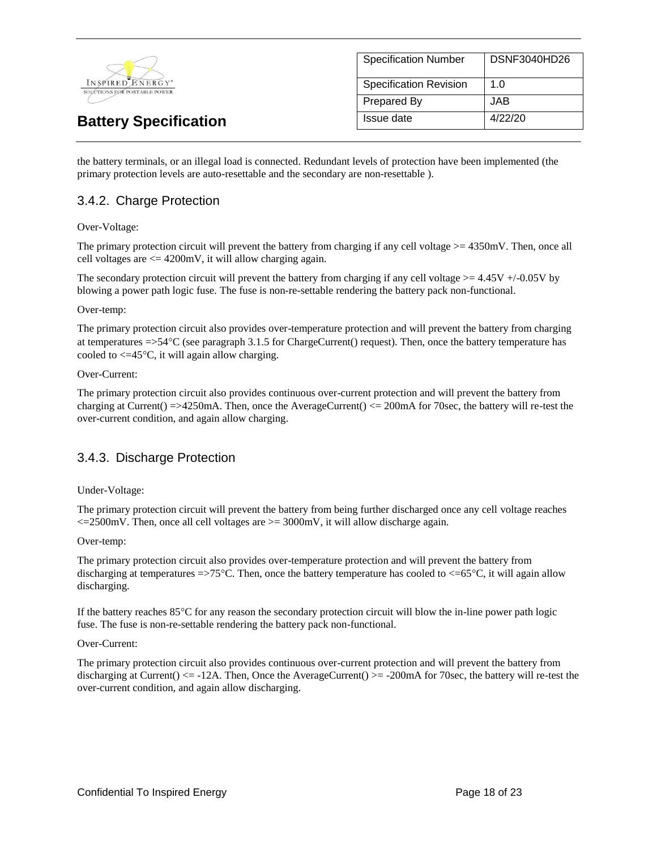

| <b>Specification Number</b>   | DSNF3040HD26 |
|-------------------------------|--------------|
| <b>Specification Revision</b> | 1 በ          |
| <b>Prepared By</b>            | JAB.         |
| Issue date                    | 4/22/20      |

the battery terminals, or an illegal load is connected. Redundant levels of protection have been implemented (the primary protection levels are auto-resettable and the secondary are non-resettable ).

#### 3.4.2. Charge Protection

#### Over-Voltage:

The primary protection circuit will prevent the battery from charging if any cell voltage >= 4350mV. Then, once all cell voltages are  $\leq$  4200mV, it will allow charging again.

The secondary protection circuit will prevent the battery from charging if any cell voltage  $>= 4.45V +10.05V$  by blowing a power path logic fuse. The fuse is non-re-settable rendering the battery pack non-functional.

#### Over-temp:

The primary protection circuit also provides over-temperature protection and will prevent the battery from charging at temperatures =>54C (see paragraph 3.1.5 for ChargeCurrent() request). Then, once the battery temperature has cooled to  $\leq$  45 $\degree$ C, it will again allow charging.

#### Over-Current:

The primary protection circuit also provides continuous over-current protection and will prevent the battery from charging at Current() =>4250mA. Then, once the AverageCurrent() <= 200mA for 70sec, the battery will re-test the over-current condition, and again allow charging.

#### 3.4.3. Discharge Protection

#### Under-Voltage:

The primary protection circuit will prevent the battery from being further discharged once any cell voltage reaches  $\epsilon$ =2500mV. Then, once all cell voltages are  $\epsilon$ =3000mV, it will allow discharge again.

#### Over-temp:

The primary protection circuit also provides over-temperature protection and will prevent the battery from discharging at temperatures  $\approx$  75°C. Then, once the battery temperature has cooled to  $\lt$  =65°C, it will again allow discharging.

If the battery reaches 85C for any reason the secondary protection circuit will blow the in-line power path logic fuse. The fuse is non-re-settable rendering the battery pack non-functional.

#### Over-Current:

The primary protection circuit also provides continuous over-current protection and will prevent the battery from discharging at Current()  $\le$  -12A. Then, Once the AverageCurrent()  $\ge$  -200mA for 70sec, the battery will re-test the over-current condition, and again allow discharging.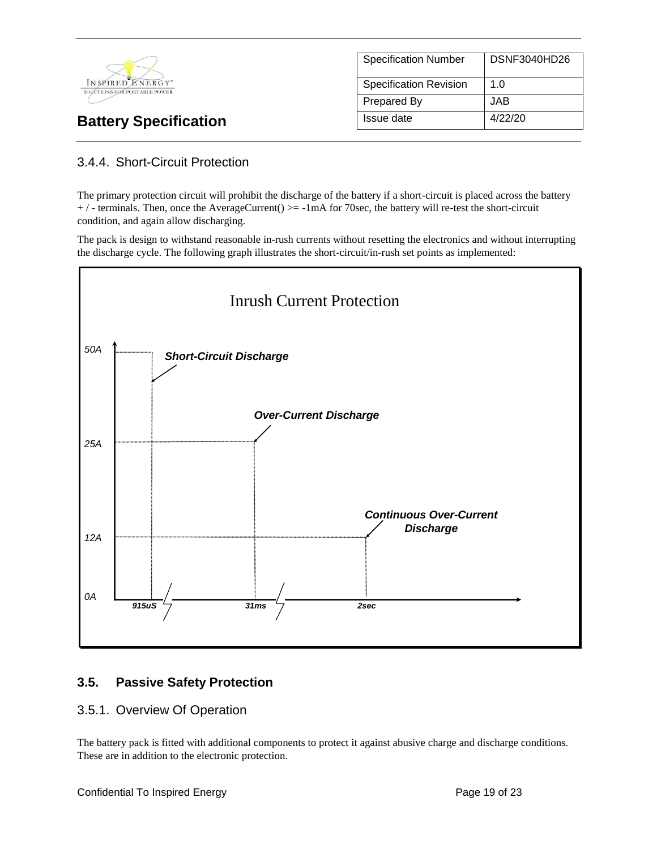

| <b>Specification Number</b>   | DSNF3040HD26 |
|-------------------------------|--------------|
| <b>Specification Revision</b> | 1.0          |
| Prepared By                   | JAB.         |
| Issue date                    | 4/22/20      |

## 3.4.4. Short-Circuit Protection

The primary protection circuit will prohibit the discharge of the battery if a short-circuit is placed across the battery  $+$  / - terminals. Then, once the AverageCurrent()  $>=$  -1mA for 70sec, the battery will re-test the short-circuit condition, and again allow discharging.

The pack is design to withstand reasonable in-rush currents without resetting the electronics and without interrupting the discharge cycle. The following graph illustrates the short-circuit/in-rush set points as implemented:



## **3.5. Passive Safety Protection**

#### 3.5.1. Overview Of Operation

The battery pack is fitted with additional components to protect it against abusive charge and discharge conditions. These are in addition to the electronic protection.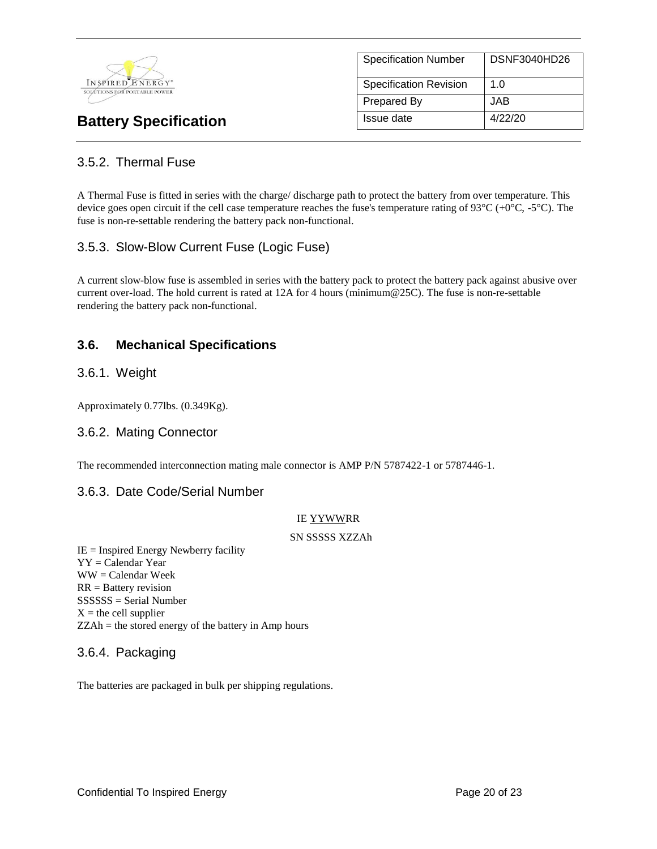

|                               | DSNF3040HD26 |
|-------------------------------|--------------|
| <b>Specification Number</b>   |              |
|                               |              |
| <b>Specification Revision</b> | 1. $\Omega$  |
|                               |              |
| Prepared By                   | JAB.         |
|                               |              |
| Issue date                    | 4/22/20      |
|                               |              |

## 3.5.2. Thermal Fuse

A Thermal Fuse is fitted in series with the charge/ discharge path to protect the battery from over temperature. This device goes open circuit if the cell case temperature reaches the fuse's temperature rating of  $93^{\circ}C (+0^{\circ}C, -5^{\circ}C)$ . The fuse is non-re-settable rendering the battery pack non-functional.

#### 3.5.3. Slow-Blow Current Fuse (Logic Fuse)

A current slow-blow fuse is assembled in series with the battery pack to protect the battery pack against abusive over current over-load. The hold current is rated at 12A for 4 hours (minimum@25C). The fuse is non-re-settable rendering the battery pack non-functional.

#### **3.6. Mechanical Specifications**

#### 3.6.1. Weight

Approximately 0.77lbs. (0.349Kg).

#### 3.6.2. Mating Connector

The recommended interconnection mating male connector is AMP P/N 5787422-1 or 5787446-1.

#### 3.6.3. Date Code/Serial Number

#### IE YYWWRR

#### SN SSSSS XZZAh

IE = Inspired Energy Newberry facility YY = Calendar Year WW = Calendar Week RR = Battery revision SSSSSS = Serial Number  $X =$  the cell supplier ZZAh = the stored energy of the battery in Amp hours

#### 3.6.4. Packaging

The batteries are packaged in bulk per shipping regulations.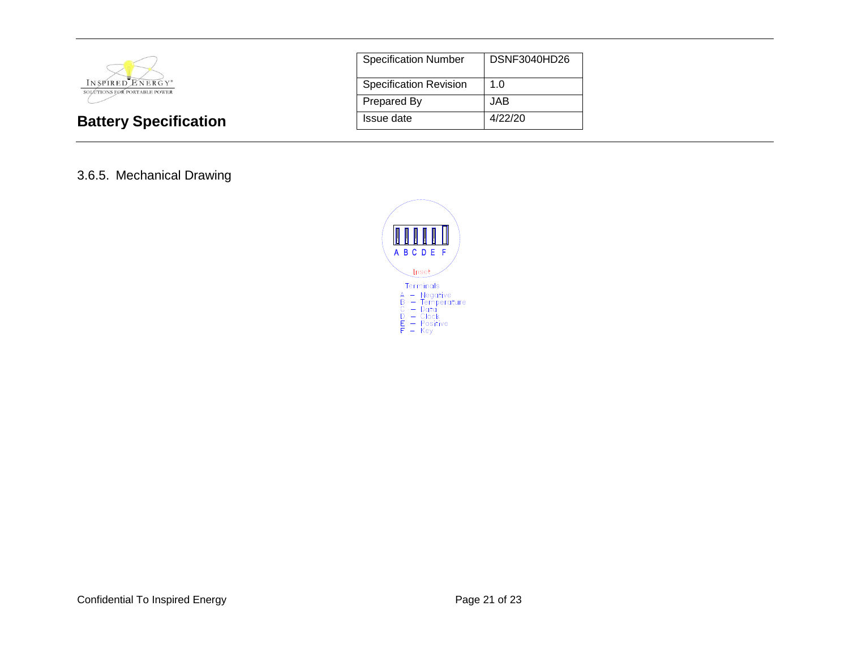

| <b>Specification Number</b>   | DSNF3040HD26 |
|-------------------------------|--------------|
| <b>Specification Revision</b> | 1.0          |
| <b>Prepared By</b>            | JAB          |
| Issue date                    | 4/22/20      |

#### 3.6.5. Mechanical Drawing

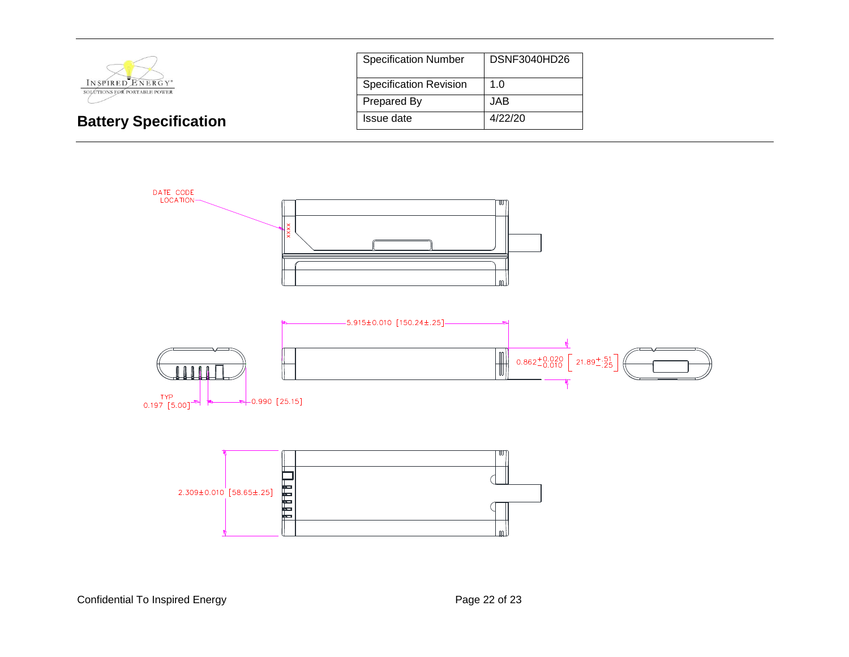

| <b>Specification Number</b>   | <b>DSNF3040HD26</b> |
|-------------------------------|---------------------|
| <b>Specification Revision</b> | 1.0                 |
| Prepared By                   | JAB                 |
| Issue date                    | 4/22/20             |



Confidential To Inspired Energy **Page 22 of 23** Page 22 of 23